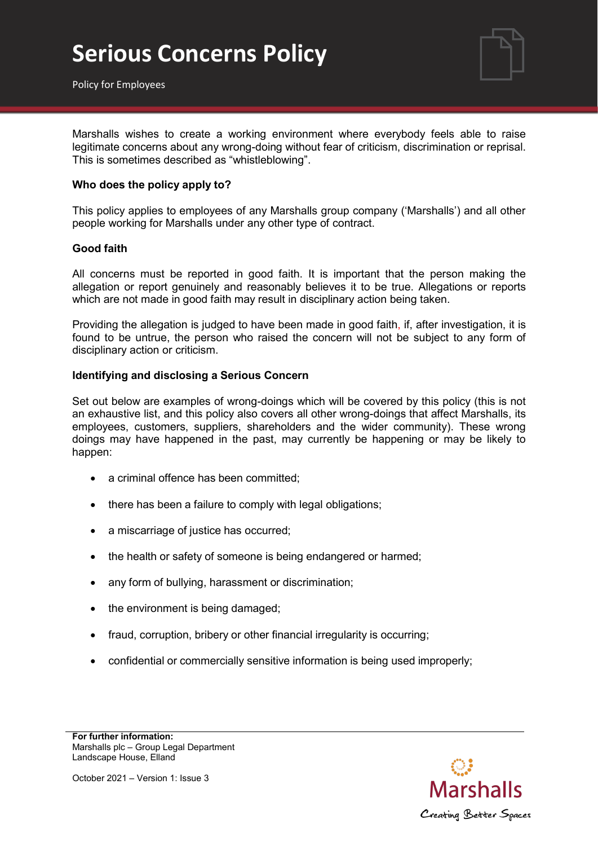

Policy for Employees

Marshalls wishes to create a working environment where everybody feels able to raise legitimate concerns about any wrong-doing without fear of criticism, discrimination or reprisal. This is sometimes described as "whistleblowing".

### **Who does the policy apply to?**

This policy applies to employees of any Marshalls group company ('Marshalls') and all other people working for Marshalls under any other type of contract.

#### **Good faith**

All concerns must be reported in good faith. It is important that the person making the allegation or report genuinely and reasonably believes it to be true. Allegations or reports which are not made in good faith may result in disciplinary action being taken.

Providing the allegation is judged to have been made in good faith, if, after investigation, it is found to be untrue, the person who raised the concern will not be subject to any form of disciplinary action or criticism.

#### **Identifying and disclosing a Serious Concern**

Set out below are examples of wrong-doings which will be covered by this policy (this is not an exhaustive list, and this policy also covers all other wrong-doings that affect Marshalls, its employees, customers, suppliers, shareholders and the wider community). These wrong doings may have happened in the past, may currently be happening or may be likely to happen:

- a criminal offence has been committed;
- there has been a failure to comply with legal obligations;
- a miscarriage of justice has occurred;
- the health or safety of someone is being endangered or harmed;
- any form of bullying, harassment or discrimination;
- the environment is being damaged;
- fraud, corruption, bribery or other financial irregularity is occurring;
- confidential or commercially sensitive information is being used improperly;

**For further information:** Marshalls plc – Group Legal Department Landscape House, Elland

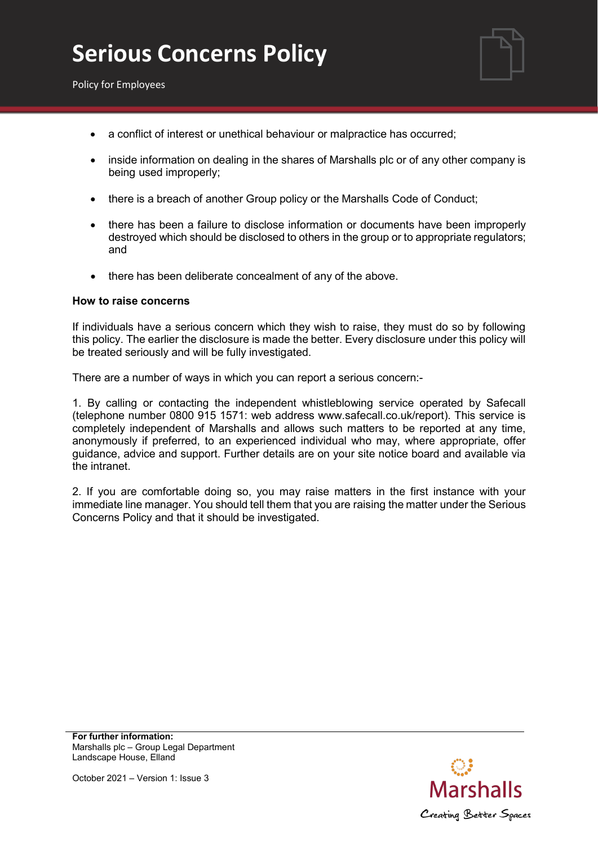

Policy for Employees

- a conflict of interest or unethical behaviour or malpractice has occurred;
- inside information on dealing in the shares of Marshalls plc or of any other company is being used improperly;
- there is a breach of another Group policy or the Marshalls Code of Conduct;
- there has been a failure to disclose information or documents have been improperly destroyed which should be disclosed to others in the group or to appropriate regulators; and
- there has been deliberate concealment of any of the above.

#### **How to raise concerns**

If individuals have a serious concern which they wish to raise, they must do so by following this policy. The earlier the disclosure is made the better. Every disclosure under this policy will be treated seriously and will be fully investigated.

There are a number of ways in which you can report a serious concern:-

1. By calling or contacting the independent whistleblowing service operated by Safecall (telephone number 0800 915 1571: web address [www.safecall.co.uk/report\). T](http://www.safecall.co.uk/report))his service is completely independent of Marshalls and allows such matters to be reported at any time, anonymously if preferred, to an experienced individual who may, where appropriate, offer guidance, advice and support. Further details are on your site notice board and available via the intranet.

2. If you are comfortable doing so, you may raise matters in the first instance with your immediate line manager. You should tell them that you are raising the matter under the Serious Concerns Policy and that it should be investigated.

**For further information:** Marshalls plc – Group Legal Department Landscape House, Elland

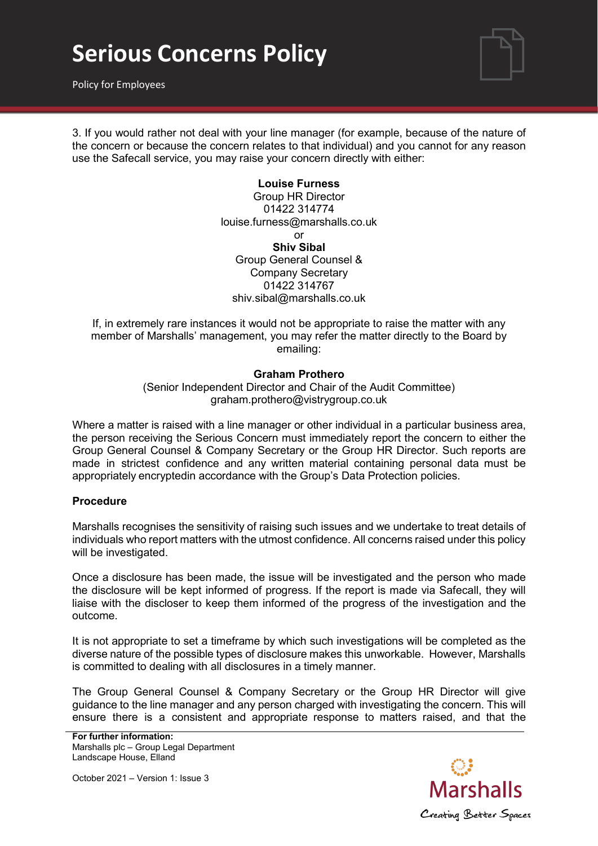# **Serious Concerns Policy**

Policy for Employees



3. If you would rather not deal with your line manager (for example, because of the nature of the concern or because the concern relates to that individual) and you cannot for any reason use the Safecall service, you may raise your concern directly with either:

> **Louise Furness** Group HR Director 01422 314774 [louise.furness@marshalls.co.uk](mailto:louise.furness@marshalls.co.uk) or **Shiv Sibal** Group General Counsel & Company Secretary 01422 314767 [shiv.sibal@marshalls.co.uk](mailto:shiv.sibal@marshalls.co.uk)

If, in extremely rare instances it would not be appropriate to raise the matter with any member of Marshalls' management, you may refer the matter directly to the Board by emailing:

### **Graham Prothero**

(Senior Independent Director and Chair of the Audit Committee) [graham.prothero@vistrygroup.co.uk](mailto:graham.prothero@vistrygroup.co.uk)

Where a matter is raised with a line manager or other individual in a particular business area, the person receiving the Serious Concern must immediately report the concern to either the Group General Counsel & Company Secretary or the Group HR Director. Such reports are made in strictest confidence and any written material containing personal data must be appropriately encryptedin accordance with the Group's Data Protection policies.

### **Procedure**

Marshalls recognises the sensitivity of raising such issues and we undertake to treat details of individuals who report matters with the utmost confidence. All concerns raised under this policy will be investigated.

Once a disclosure has been made, the issue will be investigated and the person who made the disclosure will be kept informed of progress. If the report is made via Safecall, they will liaise with the discloser to keep them informed of the progress of the investigation and the outcome.

It is not appropriate to set a timeframe by which such investigations will be completed as the diverse nature of the possible types of disclosure makes this unworkable. However, Marshalls is committed to dealing with all disclosures in a timely manner.

The Group General Counsel & Company Secretary or the Group HR Director will give guidance to the line manager and any person charged with investigating the concern. This will ensure there is a consistent and appropriate response to matters raised, and that the

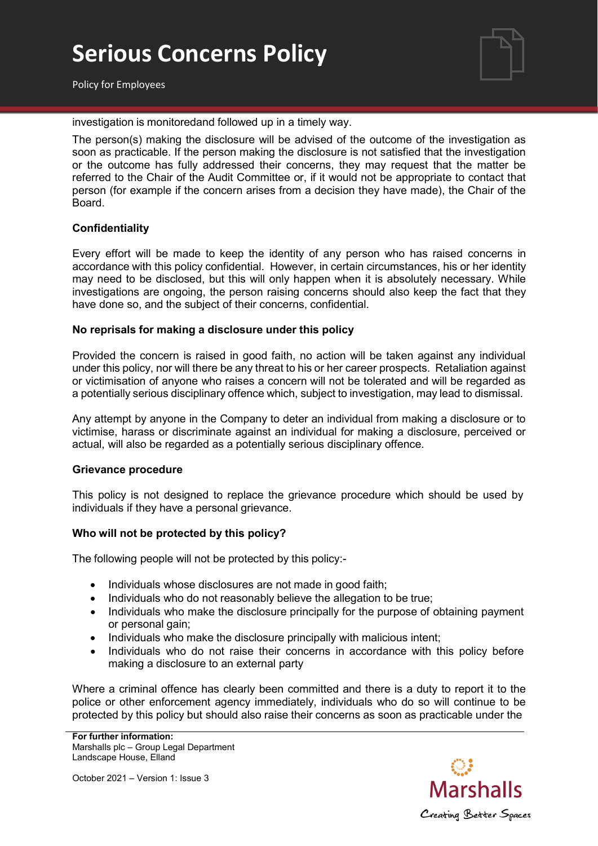# **Serious Concerns Policy**



Policy for Employees

investigation is monitoredand followed up in a timely way.

The person(s) making the disclosure will be advised of the outcome of the investigation as soon as practicable. If the person making the disclosure is not satisfied that the investigation or the outcome has fully addressed their concerns, they may request that the matter be referred to the Chair of the Audit Committee or, if it would not be appropriate to contact that person (for example if the concern arises from a decision they have made), the Chair of the Board.

## **Confidentiality**

Every effort will be made to keep the identity of any person who has raised concerns in accordance with this policy confidential. However, in certain circumstances, his or her identity may need to be disclosed, but this will only happen when it is absolutely necessary. While investigations are ongoing, the person raising concerns should also keep the fact that they have done so, and the subject of their concerns, confidential.

### **No reprisals for making a disclosure under this policy**

Provided the concern is raised in good faith, no action will be taken against any individual under this policy, nor will there be any threat to his or her career prospects. Retaliation against or victimisation of anyone who raises a concern will not be tolerated and will be regarded as a potentially serious disciplinary offence which, subject to investigation, may lead to dismissal.

Any attempt by anyone in the Company to deter an individual from making a disclosure or to victimise, harass or discriminate against an individual for making a disclosure, perceived or actual, will also be regarded as a potentially serious disciplinary offence.

### **Grievance procedure**

This policy is not designed to replace the grievance procedure which should be used by individuals if they have a personal grievance.

### **Who will not be protected by this policy?**

The following people will not be protected by this policy:-

- Individuals whose disclosures are not made in good faith;
- Individuals who do not reasonably believe the allegation to be true;
- Individuals who make the disclosure principally for the purpose of obtaining payment or personal gain;
- Individuals who make the disclosure principally with malicious intent;
- Individuals who do not raise their concerns in accordance with this policy before making a disclosure to an external party

Where a criminal offence has clearly been committed and there is a duty to report it to the police or other enforcement agency immediately, individuals who do so will continue to be protected by this policy but should also raise their concerns as soon as practicable under the